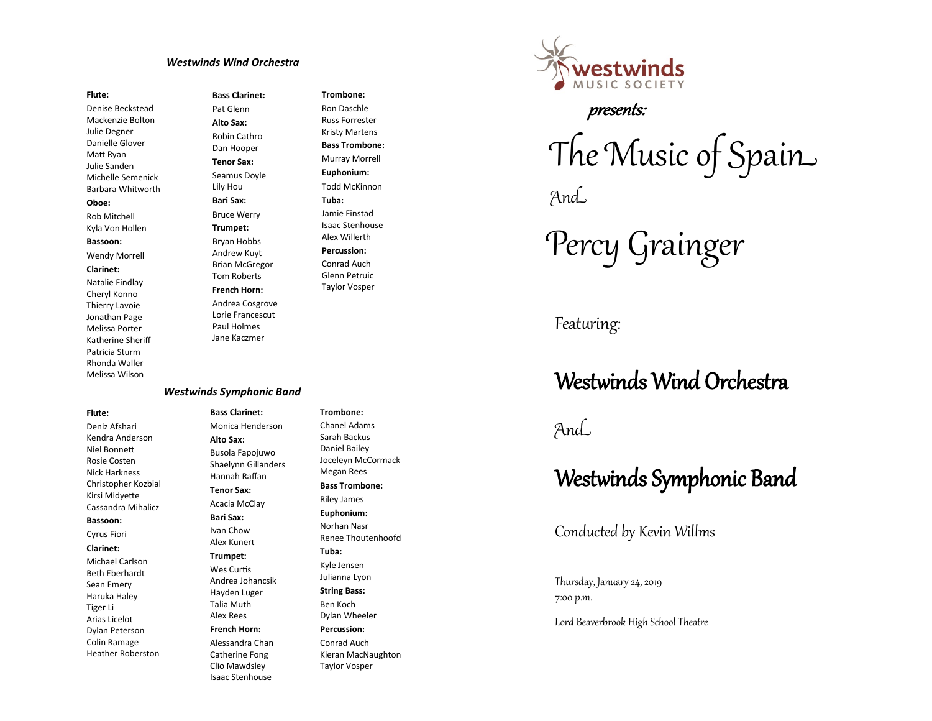## *Westwinds Wind Orchestra*

#### **Flute:**

Denise Beckstead Mackenzie Bolton Julie Degner Danielle Glover Matt Ryan Julie Sanden Michelle Semenick Barbara Whitworth **Oboe:** Rob Mitchell Kyla Von Hollen **Bassoon:** Wendy Morrell **Clarinet:** Natalie Findlay Cheryl Konno Thierry Lavoie Jonathan Page Melissa Porter Katherine Sheriff Patricia Sturm Rhonda Waller

**Bass Clarinet:** Pat Glenn **Alto Sax:** Robin Cathro Dan Hooper **Tenor Sax:** Seamus Doyle Lily Hou **Bari Sax:** Bruce Werry **Trumpet:** Bryan Hobbs Andrew Kuyt Brian McGregor Tom Roberts **French Horn:** Andrea Cosgrove Lorie Francescut Paul Holmes Jane Kaczmer

## **Trombone:** Ron Daschle Russ Forrester Kristy Martens **Bass Trombone:** Murray Morrell **Euphonium:** Todd McKinnon **Tuba:** Jamie Finstad Isaac Stenhouse Alex Willerth **Percussion:** Conrad Auch Glenn Petruic Taylor Vosper

#### *Westwinds Symphonic Band*

**Bass Clarinet:** Monica Henderson **Alto Sax:** Busola Fapojuwo Shaelynn Gillanders Hannah Raffan **Tenor Sax:** Acacia McClay **Bari Sax:** Ivan Chow Alex Kunert **Trumpet:** Wes Curtis Andrea Johancsik Hayden Luger Talia Muth Alex Rees **French Horn:** Alessandra Chan Catherine Fong Clio Mawdsley Isaac Stenhouse

**Trombone:** Chanel Adams Sarah Backus Daniel Bailey Joceleyn McCormack Megan Rees **Bass Trombone:** Riley James **Euphonium:** Norhan Nasr Renee Thoutenhoofd **Tuba:** Kyle Jensen Julianna Lyon **String Bass:** Ben Koch Dylan Wheeler **Percussion:** Conrad Auch Kieran MacNaughton Taylor Vosper



# presents:

The Music of Spain And

Percy Grainger

Featuring:

# Westwinds Wind Orchestra

# And

# Westwinds Symphonic Band

Conducted by Kevin Willms

Thursday, January 24, 2019 7:00 p.m.

Lord Beaverbrook High School Theatre

#### **Flute:**

Melissa Wilson

Deniz Afshari Kendra Anderson Niel Bonnett Rosie Costen Nick Harkness Christopher Kozbial Kirsi Midyette Cassandra Mihalicz

## **Bassoon:**

Cyrus Fiori

**Clarinet:**

Michael Carlson Beth Eberhardt Sean Emery Haruka Haley Tiger Li Arias Licelot Dylan Peterson Colin Ramage

Heather Roberston